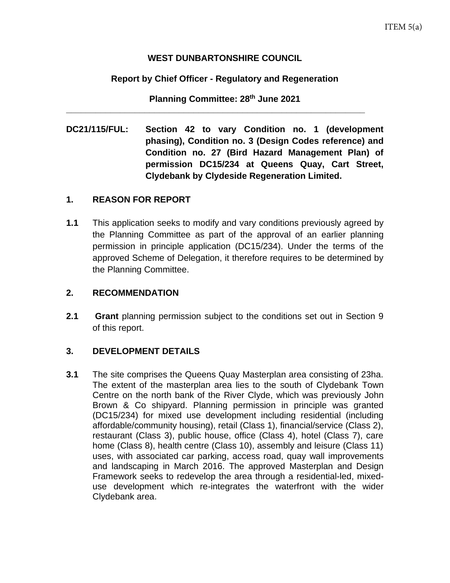#### **WEST DUNBARTONSHIRE COUNCIL**

### **Report by Chief Officer - Regulatory and Regeneration**

**Planning Committee: 28th June 2021**

**\_\_\_\_\_\_\_\_\_\_\_\_\_\_\_\_\_\_\_\_\_\_\_\_\_\_\_\_\_\_\_\_\_\_\_\_\_\_\_\_\_\_\_\_\_\_\_\_\_\_\_\_\_\_\_\_\_\_\_\_\_**

**DC21/115/FUL: Section 42 to vary Condition no. 1 (development phasing), Condition no. 3 (Design Codes reference) and Condition no. 27 (Bird Hazard Management Plan) of permission DC15/234 at Queens Quay, Cart Street, Clydebank by Clydeside Regeneration Limited.** 

#### **1. REASON FOR REPORT**

**1.1** This application seeks to modify and vary conditions previously agreed by the Planning Committee as part of the approval of an earlier planning permission in principle application (DC15/234). Under the terms of the approved Scheme of Delegation, it therefore requires to be determined by the Planning Committee.

### **2. RECOMMENDATION**

**2.1 Grant** planning permission subject to the conditions set out in Section 9 of this report.

### **3. DEVELOPMENT DETAILS**

**3.1** The site comprises the Queens Quay Masterplan area consisting of 23ha. The extent of the masterplan area lies to the south of Clydebank Town Centre on the north bank of the River Clyde, which was previously John Brown & Co shipyard. Planning permission in principle was granted (DC15/234) for mixed use development including residential (including affordable/community housing), retail (Class 1), financial/service (Class 2), restaurant (Class 3), public house, office (Class 4), hotel (Class 7), care home (Class 8), health centre (Class 10), assembly and leisure (Class 11) uses, with associated car parking, access road, quay wall improvements and landscaping in March 2016. The approved Masterplan and Design Framework seeks to redevelop the area through a residential-led, mixeduse development which re-integrates the waterfront with the wider Clydebank area.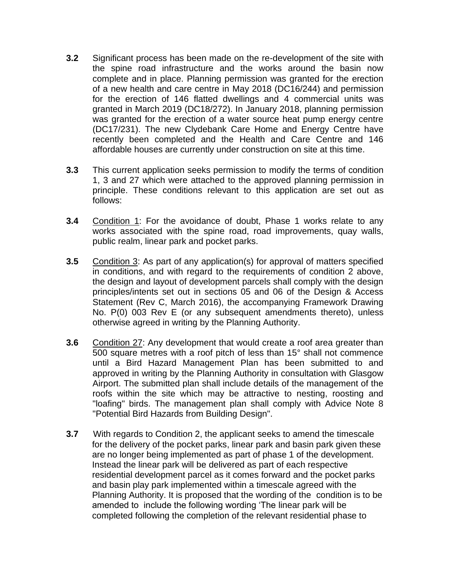- **3.2** Significant process has been made on the re-development of the site with the spine road infrastructure and the works around the basin now complete and in place. Planning permission was granted for the erection of a new health and care centre in May 2018 (DC16/244) and permission for the erection of 146 flatted dwellings and 4 commercial units was granted in March 2019 (DC18/272). In January 2018, planning permission was granted for the erection of a water source heat pump energy centre (DC17/231). The new Clydebank Care Home and Energy Centre have recently been completed and the Health and Care Centre and 146 affordable houses are currently under construction on site at this time.
- **3.3** This current application seeks permission to modify the terms of condition 1, 3 and 27 which were attached to the approved planning permission in principle. These conditions relevant to this application are set out as follows:
- **3.4** Condition 1: For the avoidance of doubt, Phase 1 works relate to any works associated with the spine road, road improvements, quay walls, public realm, linear park and pocket parks.
- **3.5** Condition 3: As part of any application(s) for approval of matters specified in conditions, and with regard to the requirements of condition 2 above, the design and layout of development parcels shall comply with the design principles/intents set out in sections 05 and 06 of the Design & Access Statement (Rev C, March 2016), the accompanying Framework Drawing No. P(0) 003 Rev E (or any subsequent amendments thereto), unless otherwise agreed in writing by the Planning Authority.
- **3.6** Condition 27: Any development that would create a roof area greater than 500 square metres with a roof pitch of less than 15° shall not commence until a Bird Hazard Management Plan has been submitted to and approved in writing by the Planning Authority in consultation with Glasgow Airport. The submitted plan shall include details of the management of the roofs within the site which may be attractive to nesting, roosting and "loafing" birds. The management plan shall comply with Advice Note 8 "Potential Bird Hazards from Building Design".
- **3.7** With regards to Condition 2, the applicant seeks to amend the timescale for the delivery of the pocket parks, linear park and basin park given these are no longer being implemented as part of phase 1 of the development. Instead the linear park will be delivered as part of each respective residential development parcel as it comes forward and the pocket parks and basin play park implemented within a timescale agreed with the Planning Authority. It is proposed that the wording of the condition is to be amended to include the following wording 'The linear park will be completed following the completion of the relevant residential phase to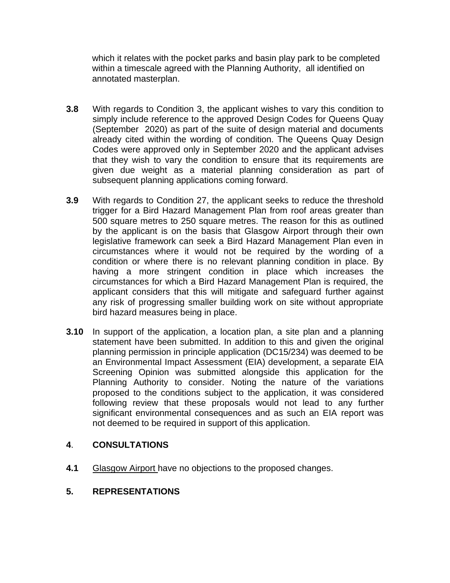which it relates with the pocket parks and basin play park to be completed within a timescale agreed with the Planning Authority, all identified on annotated masterplan.

- **3.8** With regards to Condition 3, the applicant wishes to vary this condition to simply include reference to the approved Design Codes for Queens Quay (September 2020) as part of the suite of design material and documents already cited within the wording of condition. The Queens Quay Design Codes were approved only in September 2020 and the applicant advises that they wish to vary the condition to ensure that its requirements are given due weight as a material planning consideration as part of subsequent planning applications coming forward.
- **3.9** With regards to Condition 27, the applicant seeks to reduce the threshold trigger for a Bird Hazard Management Plan from roof areas greater than 500 square metres to 250 square metres. The reason for this as outlined by the applicant is on the basis that Glasgow Airport through their own legislative framework can seek a Bird Hazard Management Plan even in circumstances where it would not be required by the wording of a condition or where there is no relevant planning condition in place. By having a more stringent condition in place which increases the circumstances for which a Bird Hazard Management Plan is required, the applicant considers that this will mitigate and safeguard further against any risk of progressing smaller building work on site without appropriate bird hazard measures being in place.
- **3.10** In support of the application, a location plan, a site plan and a planning statement have been submitted. In addition to this and given the original planning permission in principle application (DC15/234) was deemed to be an Environmental Impact Assessment (EIA) development, a separate EIA Screening Opinion was submitted alongside this application for the Planning Authority to consider. Noting the nature of the variations proposed to the conditions subject to the application, it was considered following review that these proposals would not lead to any further significant environmental consequences and as such an EIA report was not deemed to be required in support of this application.

#### **4**. **CONSULTATIONS**

- **4.1** Glasgow Airport have no objections to the proposed changes.
- **5. REPRESENTATIONS**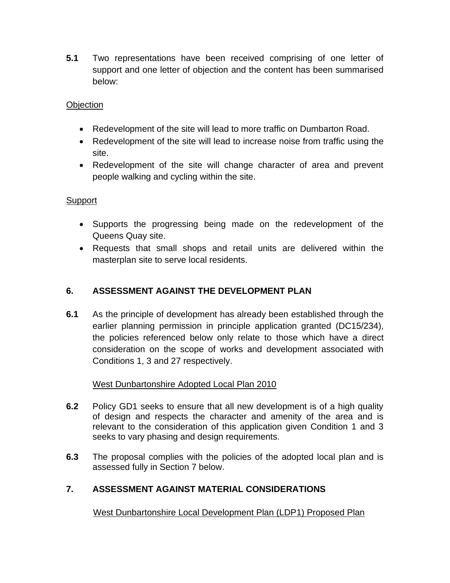**5.1** Two representations have been received comprising of one letter of support and one letter of objection and the content has been summarised below:

### **Objection**

- Redevelopment of the site will lead to more traffic on Dumbarton Road.
- Redevelopment of the site will lead to increase noise from traffic using the site.
- Redevelopment of the site will change character of area and prevent people walking and cycling within the site.

### **Support**

- Supports the progressing being made on the redevelopment of the Queens Quay site.
- Requests that small shops and retail units are delivered within the masterplan site to serve local residents.

## **6. ASSESSMENT AGAINST THE DEVELOPMENT PLAN**

**6.1** As the principle of development has already been established through the earlier planning permission in principle application granted (DC15/234), the policies referenced below only relate to those which have a direct consideration on the scope of works and development associated with Conditions 1, 3 and 27 respectively.

### West Dunbartonshire Adopted Local Plan 2010

- **6.2** Policy GD1 seeks to ensure that all new development is of a high quality of design and respects the character and amenity of the area and is relevant to the consideration of this application given Condition 1 and 3 seeks to vary phasing and design requirements.
- **6.3** The proposal complies with the policies of the adopted local plan and is assessed fully in Section 7 below.

# **7. ASSESSMENT AGAINST MATERIAL CONSIDERATIONS**

West Dunbartonshire Local Development Plan (LDP1) Proposed Plan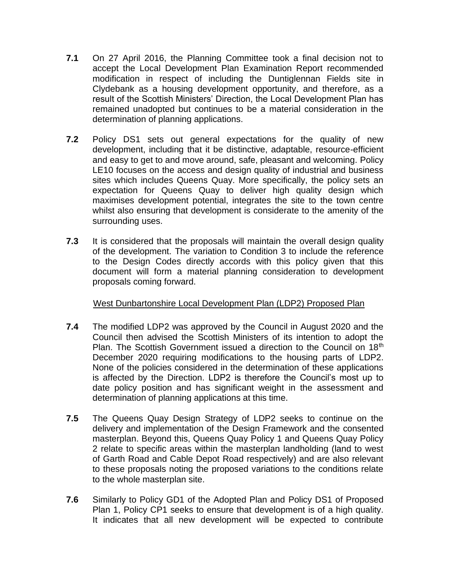- **7.1** On 27 April 2016, the Planning Committee took a final decision not to accept the Local Development Plan Examination Report recommended modification in respect of including the Duntiglennan Fields site in Clydebank as a housing development opportunity, and therefore, as a result of the Scottish Ministers' Direction, the Local Development Plan has remained unadopted but continues to be a material consideration in the determination of planning applications.
- **7.2** Policy DS1 sets out general expectations for the quality of new development, including that it be distinctive, adaptable, resource-efficient and easy to get to and move around, safe, pleasant and welcoming. Policy LE10 focuses on the access and design quality of industrial and business sites which includes Queens Quay. More specifically, the policy sets an expectation for Queens Quay to deliver high quality design which maximises development potential, integrates the site to the town centre whilst also ensuring that development is considerate to the amenity of the surrounding uses.
- **7.3** It is considered that the proposals will maintain the overall design quality of the development. The variation to Condition 3 to include the reference to the Design Codes directly accords with this policy given that this document will form a material planning consideration to development proposals coming forward.

### West Dunbartonshire Local Development Plan (LDP2) Proposed Plan

- **7.4** The modified LDP2 was approved by the Council in August 2020 and the Council then advised the Scottish Ministers of its intention to adopt the Plan. The Scottish Government issued a direction to the Council on 18<sup>th</sup> December 2020 requiring modifications to the housing parts of LDP2. None of the policies considered in the determination of these applications is affected by the Direction. LDP2 is therefore the Council's most up to date policy position and has significant weight in the assessment and determination of planning applications at this time.
- **7.5** The Queens Quay Design Strategy of LDP2 seeks to continue on the delivery and implementation of the Design Framework and the consented masterplan. Beyond this, Queens Quay Policy 1 and Queens Quay Policy 2 relate to specific areas within the masterplan landholding (land to west of Garth Road and Cable Depot Road respectively) and are also relevant to these proposals noting the proposed variations to the conditions relate to the whole masterplan site.
- **7.6** Similarly to Policy GD1 of the Adopted Plan and Policy DS1 of Proposed Plan 1, Policy CP1 seeks to ensure that development is of a high quality. It indicates that all new development will be expected to contribute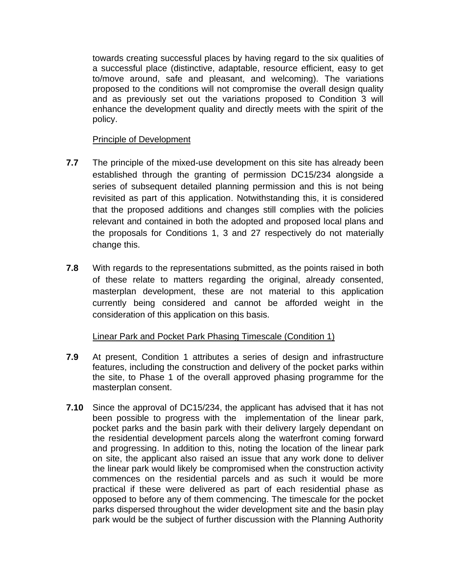towards creating successful places by having regard to the six qualities of a successful place (distinctive, adaptable, resource efficient, easy to get to/move around, safe and pleasant, and welcoming). The variations proposed to the conditions will not compromise the overall design quality and as previously set out the variations proposed to Condition 3 will enhance the development quality and directly meets with the spirit of the policy.

#### Principle of Development

- **7.7** The principle of the mixed-use development on this site has already been established through the granting of permission DC15/234 alongside a series of subsequent detailed planning permission and this is not being revisited as part of this application. Notwithstanding this, it is considered that the proposed additions and changes still complies with the policies relevant and contained in both the adopted and proposed local plans and the proposals for Conditions 1, 3 and 27 respectively do not materially change this.
- **7.8** With regards to the representations submitted, as the points raised in both of these relate to matters regarding the original, already consented, masterplan development, these are not material to this application currently being considered and cannot be afforded weight in the consideration of this application on this basis.

#### Linear Park and Pocket Park Phasing Timescale (Condition 1)

- **7.9** At present, Condition 1 attributes a series of design and infrastructure features, including the construction and delivery of the pocket parks within the site, to Phase 1 of the overall approved phasing programme for the masterplan consent.
- **7.10** Since the approval of DC15/234, the applicant has advised that it has not been possible to progress with the implementation of the linear park, pocket parks and the basin park with their delivery largely dependant on the residential development parcels along the waterfront coming forward and progressing. In addition to this, noting the location of the linear park on site, the applicant also raised an issue that any work done to deliver the linear park would likely be compromised when the construction activity commences on the residential parcels and as such it would be more practical if these were delivered as part of each residential phase as opposed to before any of them commencing. The timescale for the pocket parks dispersed throughout the wider development site and the basin play park would be the subject of further discussion with the Planning Authority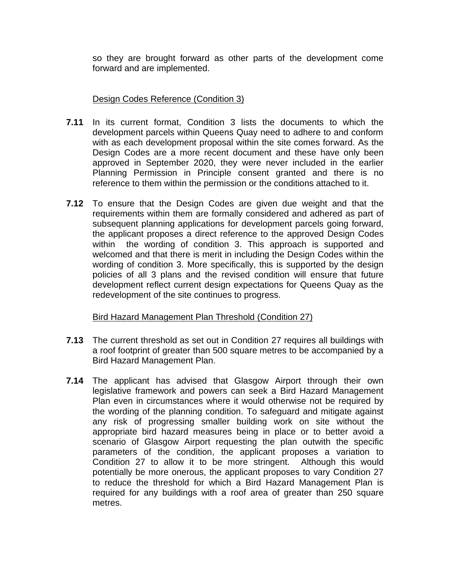so they are brought forward as other parts of the development come forward and are implemented.

#### Design Codes Reference (Condition 3)

- **7.11** In its current format, Condition 3 lists the documents to which the development parcels within Queens Quay need to adhere to and conform with as each development proposal within the site comes forward. As the Design Codes are a more recent document and these have only been approved in September 2020, they were never included in the earlier Planning Permission in Principle consent granted and there is no reference to them within the permission or the conditions attached to it.
- **7.12** To ensure that the Design Codes are given due weight and that the requirements within them are formally considered and adhered as part of subsequent planning applications for development parcels going forward, the applicant proposes a direct reference to the approved Design Codes within the wording of condition 3. This approach is supported and welcomed and that there is merit in including the Design Codes within the wording of condition 3. More specifically, this is supported by the design policies of all 3 plans and the revised condition will ensure that future development reflect current design expectations for Queens Quay as the redevelopment of the site continues to progress.

### Bird Hazard Management Plan Threshold (Condition 27)

- **7.13** The current threshold as set out in Condition 27 requires all buildings with a roof footprint of greater than 500 square metres to be accompanied by a Bird Hazard Management Plan.
- **7.14** The applicant has advised that Glasgow Airport through their own legislative framework and powers can seek a Bird Hazard Management Plan even in circumstances where it would otherwise not be required by the wording of the planning condition. To safeguard and mitigate against any risk of progressing smaller building work on site without the appropriate bird hazard measures being in place or to better avoid a scenario of Glasgow Airport requesting the plan outwith the specific parameters of the condition, the applicant proposes a variation to Condition 27 to allow it to be more stringent. Although this would potentially be more onerous, the applicant proposes to vary Condition 27 to reduce the threshold for which a Bird Hazard Management Plan is required for any buildings with a roof area of greater than 250 square metres.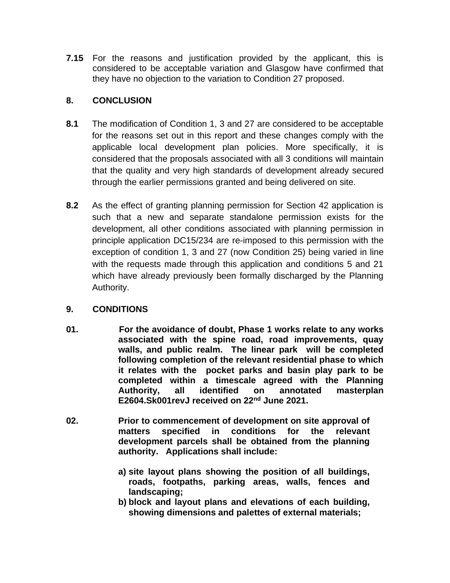**7.15** For the reasons and justification provided by the applicant, this is considered to be acceptable variation and Glasgow have confirmed that they have no objection to the variation to Condition 27 proposed.

## **8. CONCLUSION**

- **8.1** The modification of Condition 1, 3 and 27 are considered to be acceptable for the reasons set out in this report and these changes comply with the applicable local development plan policies. More specifically, it is considered that the proposals associated with all 3 conditions will maintain that the quality and very high standards of development already secured through the earlier permissions granted and being delivered on site.
- **8.2** As the effect of granting planning permission for Section 42 application is such that a new and separate standalone permission exists for the development, all other conditions associated with planning permission in principle application DC15/234 are re-imposed to this permission with the exception of condition 1, 3 and 27 (now Condition 25) being varied in line with the requests made through this application and conditions 5 and 21 which have already previously been formally discharged by the Planning Authority.

# **9. CONDITIONS**

- **01. For the avoidance of doubt, Phase 1 works relate to any works associated with the spine road, road improvements, quay walls, and public realm. The linear park will be completed following completion of the relevant residential phase to which it relates with the pocket parks and basin play park to be completed within a timescale agreed with the Planning Authority, all identified on annotated masterplan E2604.Sk001revJ received on 22nd June 2021.**
- **02. Prior to commencement of development on site approval of matters specified in conditions for the relevant development parcels shall be obtained from the planning authority. Applications shall include:**
	- **a) site layout plans showing the position of all buildings, roads, footpaths, parking areas, walls, fences and landscaping;**
	- **b) block and layout plans and elevations of each building, showing dimensions and palettes of external materials;**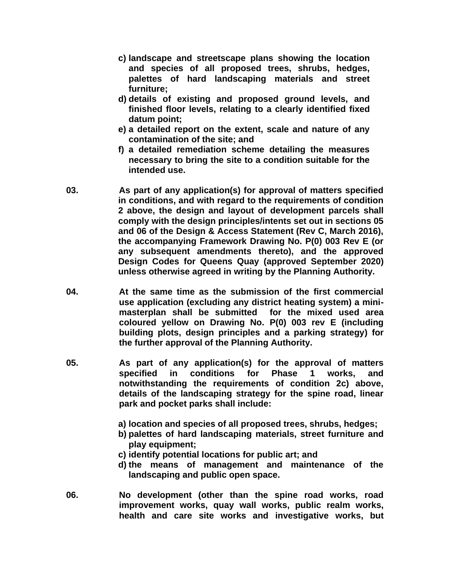- **c) landscape and streetscape plans showing the location and species of all proposed trees, shrubs, hedges, palettes of hard landscaping materials and street furniture;**
- **d) details of existing and proposed ground levels, and finished floor levels, relating to a clearly identified fixed datum point;**
- **e) a detailed report on the extent, scale and nature of any contamination of the site; and**
- **f) a detailed remediation scheme detailing the measures necessary to bring the site to a condition suitable for the intended use.**
- **03. As part of any application(s) for approval of matters specified in conditions, and with regard to the requirements of condition 2 above, the design and layout of development parcels shall comply with the design principles/intents set out in sections 05 and 06 of the Design & Access Statement (Rev C, March 2016), the accompanying Framework Drawing No. P(0) 003 Rev E (or any subsequent amendments thereto), and the approved Design Codes for Queens Quay (approved September 2020) unless otherwise agreed in writing by the Planning Authority.**
- **04. At the same time as the submission of the first commercial use application (excluding any district heating system) a minimasterplan shall be submitted for the mixed used area coloured yellow on Drawing No. P(0) 003 rev E (including building plots, design principles and a parking strategy) for the further approval of the Planning Authority.**
- **05. As part of any application(s) for the approval of matters specified in conditions for Phase 1 works, and notwithstanding the requirements of condition 2c) above, details of the landscaping strategy for the spine road, linear park and pocket parks shall include:**
	- **a) location and species of all proposed trees, shrubs, hedges;**
	- **b) palettes of hard landscaping materials, street furniture and play equipment;**
	- **c) identify potential locations for public art; and**
	- **d) the means of management and maintenance of the landscaping and public open space.**
- **06. No development (other than the spine road works, road improvement works, quay wall works, public realm works, health and care site works and investigative works, but**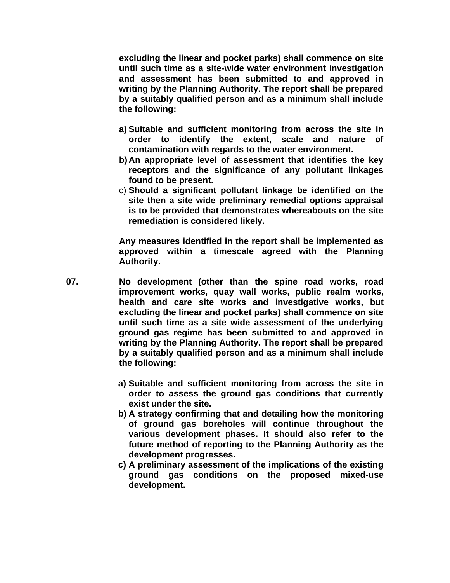**excluding the linear and pocket parks) shall commence on site until such time as a site-wide water environment investigation and assessment has been submitted to and approved in writing by the Planning Authority. The report shall be prepared by a suitably qualified person and as a minimum shall include the following:**

- **a) Suitable and sufficient monitoring from across the site in order to identify the extent, scale and nature of contamination with regards to the water environment.**
- **b) An appropriate level of assessment that identifies the key receptors and the significance of any pollutant linkages found to be present.**
- c) **Should a significant pollutant linkage be identified on the site then a site wide preliminary remedial options appraisal is to be provided that demonstrates whereabouts on the site remediation is considered likely.**

**Any measures identified in the report shall be implemented as approved within a timescale agreed with the Planning Authority.**

- **07. No development (other than the spine road works, road improvement works, quay wall works, public realm works, health and care site works and investigative works, but excluding the linear and pocket parks) shall commence on site until such time as a site wide assessment of the underlying ground gas regime has been submitted to and approved in writing by the Planning Authority. The report shall be prepared by a suitably qualified person and as a minimum shall include the following:**
	- **a) Suitable and sufficient monitoring from across the site in order to assess the ground gas conditions that currently exist under the site.**
	- **b) A strategy confirming that and detailing how the monitoring of ground gas boreholes will continue throughout the various development phases. It should also refer to the future method of reporting to the Planning Authority as the development progresses.**
	- **c) A preliminary assessment of the implications of the existing ground gas conditions on the proposed mixed-use development.**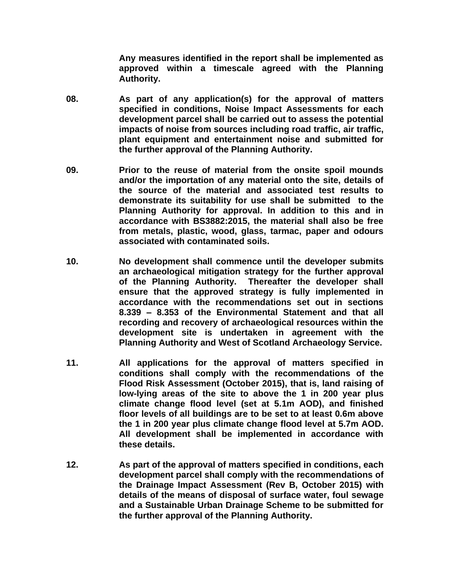**Any measures identified in the report shall be implemented as approved within a timescale agreed with the Planning Authority.**

- **08. As part of any application(s) for the approval of matters specified in conditions, Noise Impact Assessments for each development parcel shall be carried out to assess the potential impacts of noise from sources including road traffic, air traffic, plant equipment and entertainment noise and submitted for the further approval of the Planning Authority.**
- **09. Prior to the reuse of material from the onsite spoil mounds and/or the importation of any material onto the site, details of the source of the material and associated test results to demonstrate its suitability for use shall be submitted to the Planning Authority for approval. In addition to this and in accordance with BS3882:2015, the material shall also be free from metals, plastic, wood, glass, tarmac, paper and odours associated with contaminated soils.**
- **10. No development shall commence until the developer submits an archaeological mitigation strategy for the further approval of the Planning Authority. Thereafter the developer shall ensure that the approved strategy is fully implemented in accordance with the recommendations set out in sections 8.339 – 8.353 of the Environmental Statement and that all recording and recovery of archaeological resources within the development site is undertaken in agreement with the Planning Authority and West of Scotland Archaeology Service.**
- **11. All applications for the approval of matters specified in conditions shall comply with the recommendations of the Flood Risk Assessment (October 2015), that is, land raising of low-lying areas of the site to above the 1 in 200 year plus climate change flood level (set at 5.1m AOD), and finished floor levels of all buildings are to be set to at least 0.6m above the 1 in 200 year plus climate change flood level at 5.7m AOD. All development shall be implemented in accordance with these details.**
- **12. As part of the approval of matters specified in conditions, each development parcel shall comply with the recommendations of the Drainage Impact Assessment (Rev B, October 2015) with details of the means of disposal of surface water, foul sewage and a Sustainable Urban Drainage Scheme to be submitted for the further approval of the Planning Authority.**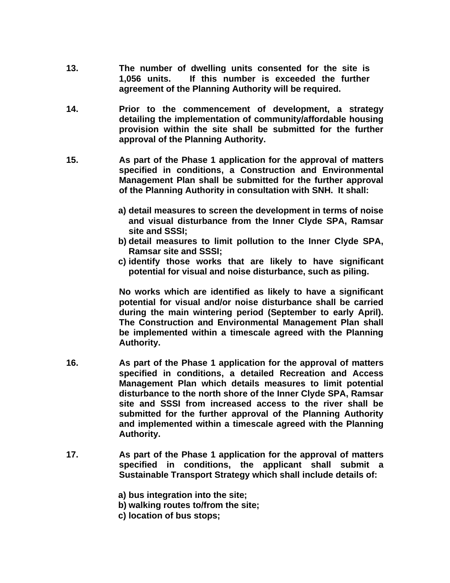- **13. The number of dwelling units consented for the site is 1,056 units. If this number is exceeded the further agreement of the Planning Authority will be required.**
- **14. Prior to the commencement of development, a strategy detailing the implementation of community/affordable housing provision within the site shall be submitted for the further approval of the Planning Authority.**
- **15. As part of the Phase 1 application for the approval of matters specified in conditions, a Construction and Environmental Management Plan shall be submitted for the further approval of the Planning Authority in consultation with SNH. It shall:**
	- **a) detail measures to screen the development in terms of noise and visual disturbance from the Inner Clyde SPA, Ramsar site and SSSI;**
	- **b) detail measures to limit pollution to the Inner Clyde SPA, Ramsar site and SSSI;**
	- **c) identify those works that are likely to have significant potential for visual and noise disturbance, such as piling.**

**No works which are identified as likely to have a significant potential for visual and/or noise disturbance shall be carried during the main wintering period (September to early April). The Construction and Environmental Management Plan shall be implemented within a timescale agreed with the Planning Authority.** 

- **16. As part of the Phase 1 application for the approval of matters specified in conditions, a detailed Recreation and Access Management Plan which details measures to limit potential disturbance to the north shore of the Inner Clyde SPA, Ramsar site and SSSI from increased access to the river shall be submitted for the further approval of the Planning Authority and implemented within a timescale agreed with the Planning Authority.**
- **17. As part of the Phase 1 application for the approval of matters specified in conditions, the applicant shall submit a Sustainable Transport Strategy which shall include details of:**

**a) bus integration into the site;**

**b) walking routes to/from the site;**

**c) location of bus stops;**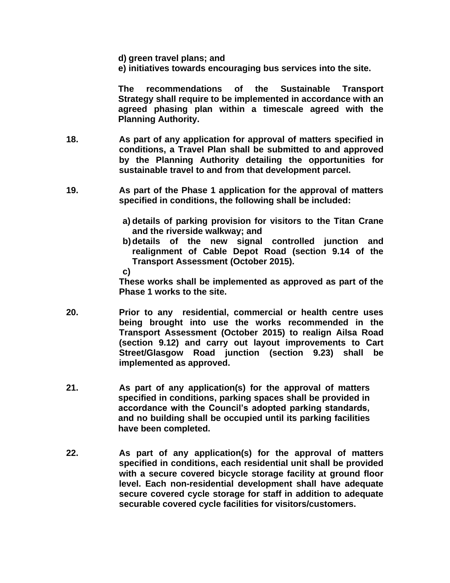**d) green travel plans; and**

**e) initiatives towards encouraging bus services into the site.**

**The recommendations of the Sustainable Transport Strategy shall require to be implemented in accordance with an agreed phasing plan within a timescale agreed with the Planning Authority.** 

- **18. As part of any application for approval of matters specified in conditions, a Travel Plan shall be submitted to and approved by the Planning Authority detailing the opportunities for sustainable travel to and from that development parcel.**
- **19. As part of the Phase 1 application for the approval of matters specified in conditions, the following shall be included:**
	- **a) details of parking provision for visitors to the Titan Crane and the riverside walkway; and**
	- **b)details of the new signal controlled junction and realignment of Cable Depot Road (section 9.14 of the Transport Assessment (October 2015).**

**c)**

**These works shall be implemented as approved as part of the Phase 1 works to the site.**

- **20. Prior to any residential, commercial or health centre uses being brought into use the works recommended in the Transport Assessment (October 2015) to realign Ailsa Road (section 9.12) and carry out layout improvements to Cart Street/Glasgow Road junction (section 9.23) shall be implemented as approved.**
- **21. As part of any application(s) for the approval of matters specified in conditions, parking spaces shall be provided in accordance with the Council's adopted parking standards, and no building shall be occupied until its parking facilities have been completed.**
- **22. As part of any application(s) for the approval of matters specified in conditions, each residential unit shall be provided with a secure covered bicycle storage facility at ground floor level. Each non-residential development shall have adequate secure covered cycle storage for staff in addition to adequate securable covered cycle facilities for visitors/customers.**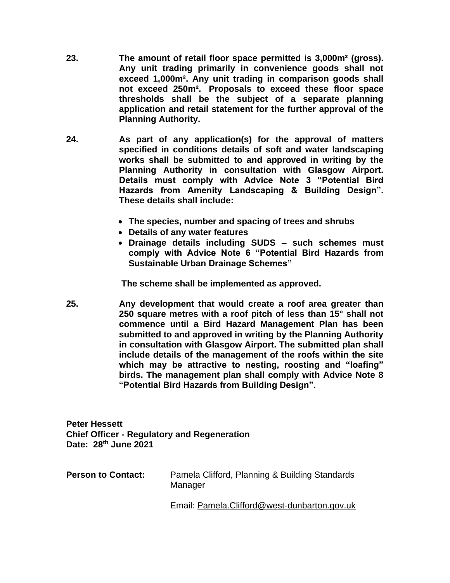- **23. The amount of retail floor space permitted is 3,000m² (gross). Any unit trading primarily in convenience goods shall not exceed 1,000m². Any unit trading in comparison goods shall not exceed 250m². Proposals to exceed these floor space thresholds shall be the subject of a separate planning application and retail statement for the further approval of the Planning Authority.**
- **24. As part of any application(s) for the approval of matters specified in conditions details of soft and water landscaping works shall be submitted to and approved in writing by the Planning Authority in consultation with Glasgow Airport. Details must comply with Advice Note 3 "Potential Bird Hazards from Amenity Landscaping & Building Design". These details shall include:**
	- **The species, number and spacing of trees and shrubs**
	- **Details of any water features**
	- **Drainage details including SUDS – such schemes must comply with Advice Note 6 "Potential Bird Hazards from Sustainable Urban Drainage Schemes"**

**The scheme shall be implemented as approved.**

**25. Any development that would create a roof area greater than 250 square metres with a roof pitch of less than 15° shall not commence until a Bird Hazard Management Plan has been submitted to and approved in writing by the Planning Authority in consultation with Glasgow Airport. The submitted plan shall include details of the management of the roofs within the site which may be attractive to nesting, roosting and "loafing" birds. The management plan shall comply with Advice Note 8 "Potential Bird Hazards from Building Design".** 

**Peter Hessett Chief Officer - Regulatory and Regeneration Date: 28th June 2021**

| <b>Person to Contact:</b> | Pamela Clifford, Planning & Building Standards<br>Manager |
|---------------------------|-----------------------------------------------------------|
|                           |                                                           |

Email: [Pamela.Clifford@west-dunbarton.gov.uk](mailto:Pamela.Clifford@west-dunbarton.gov.uk)